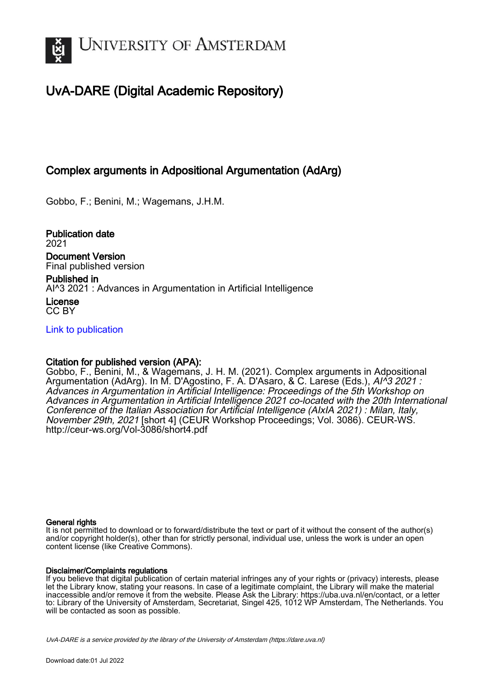

# UvA-DARE (Digital Academic Repository)

## Complex arguments in Adpositional Argumentation (AdArg)

Gobbo, F.; Benini, M.; Wagemans, J.H.M.

Publication date 2021 Document Version

Final published version

Published in AI^3 2021 : Advances in Argumentation in Artificial Intelligence

License CC BY

[Link to publication](https://dare.uva.nl/personal/pure/en/publications/complex-arguments-in-adpositional-argumentation-adarg(ec02e778-50ff-4f11-a4de-6820a3c99bc0).html)

## Citation for published version (APA):

Gobbo, F., Benini, M., & Wagemans, J. H. M. (2021). Complex arguments in Adpositional Argumentation (AdArg). In M. D'Agostino, F. A. D'Asaro, & C. Larese (Eds.), AI^3 2021 : Advances in Argumentation in Artificial Intelligence: Proceedings of the 5th Workshop on Advances in Argumentation in Artificial Intelligence 2021 co-located with the 20th International Conference of the Italian Association for Artificial Intelligence (AIxIA 2021) : Milan, Italy, November 29th, 2021 [short 4] (CEUR Workshop Proceedings; Vol. 3086). CEUR-WS. <http://ceur-ws.org/Vol-3086/short4.pdf>

#### General rights

It is not permitted to download or to forward/distribute the text or part of it without the consent of the author(s) and/or copyright holder(s), other than for strictly personal, individual use, unless the work is under an open content license (like Creative Commons).

#### Disclaimer/Complaints regulations

If you believe that digital publication of certain material infringes any of your rights or (privacy) interests, please let the Library know, stating your reasons. In case of a legitimate complaint, the Library will make the material inaccessible and/or remove it from the website. Please Ask the Library: https://uba.uva.nl/en/contact, or a letter to: Library of the University of Amsterdam, Secretariat, Singel 425, 1012 WP Amsterdam, The Netherlands. You will be contacted as soon as possible.

UvA-DARE is a service provided by the library of the University of Amsterdam (http*s*://dare.uva.nl)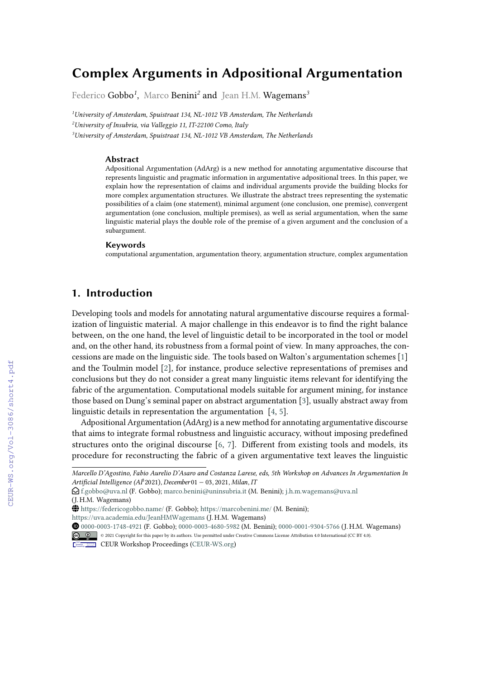# **Complex Arguments in Adpositional Argumentation**

Federico Gobbo*<sup>1</sup>* , Marco Benini*<sup>2</sup>* and Jean H.M. Wagemans*<sup>3</sup>*

*<sup>1</sup>University of Amsterdam, Spuistraat 134, NL-1012 VB Amsterdam, The Netherlands <sup>2</sup>University of Insubria, via Valleggio 11, IT-22100 Como, Italy*

*<sup>3</sup>University of Amsterdam, Spuistraat 134, NL-1012 VB Amsterdam, The Netherlands*

#### **Abstract**

Adpositional Argumentation (AdArg) is a new method for annotating argumentative discourse that represents linguistic and pragmatic information in argumentative adpositional trees. In this paper, we explain how the representation of claims and individual arguments provide the building blocks for more complex argumentation structures. We illustrate the abstract trees representing the systematic possibilities of a claim (one statement), minimal argument (one conclusion, one premise), convergent argumentation (one conclusion, multiple premises), as well as serial argumentation, when the same linguistic material plays the double role of the premise of a given argument and the conclusion of a subargument.

#### **Keywords**

computational argumentation, argumentation theory, argumentation structure, complex argumentation

## **1. Introduction**

Developing tools and models for annotating natural argumentative discourse requires a formalization of linguistic material. A major challenge in this endeavor is to find the right balance between, on the one hand, the level of linguistic detail to be incorporated in the tool or model and, on the other hand, its robustness from a formal point of view. In many approaches, the concessions are made on the linguistic side. The tools based on Walton's argumentation schemes [1] and the Toulmin model [2], for instance, produce selective representations of premises and conclusions but they do not consider a great many linguistic items relevant for identifying the fabric of the argumentation. Computational models suitable for argument mining, for instance those based on Dung's seminal paper on abstract argumentation [3], usually abstract away from linguistic details in representation the argumentation [4, 5].

Adpositional Argumentation (AdArg) is a new method for annotating argumentative discourse that aims to integrate formal robustness and linguistic accuracy, without imposing predefined structures onto the original discourse [6, 7]. Different from existing tools and models, its procedure for reconstructing the fabric of a given argumentative text leaves the linguistic

*Marcello D'Agostino, Fabio Aurelio D'Asaro and Costanza Larese, eds, 5th Workshop on Advances In Argumentation In* Artificial Intelligence (AI<sup>3</sup>2021), December01 − 03, 2021, Milan, IT

 $\bigcirc$ [f.gobbo@uva.nl](mailto:f.gobbo@uva.nl) (F. Gobbo); [marco.benini@uninsubria.it](mailto:marco.benini@uninsubria.it) (M. Benini); [j.h.m.wagemans@uva.nl](mailto:j.h.m.wagemans@uva.nl) (J. H.M. Wagemans)

 $\bigoplus$  <https://federicogobbo.name/> (F. Gobbo); <https://marcobenini.me/> (M. Benini);

<https://uva.academia.edu/JeanHMWagemans> (J. H.M. Wagemans)

Orcid [0000-0003-1748-4921](https://orcid.org/0000-0003-1748-4921) (F. Gobbo); [0000-0003-4680-5982](https://orcid.org/0000-0003-4680-5982) (M. Benini); [0000-0001-9304-5766](https://orcid.org/0000-0001-9304-5766) (J. H.M. Wagemans) © 2021 Copyright for this paper by its authors. Use permitted under Creative Commons License Attribution 4.0 International (CC BY 4.0).

CEUR Workshop [Proceedings](http://ceur-ws.org) [\(CEUR-WS.org\)](http://ceur-ws.org)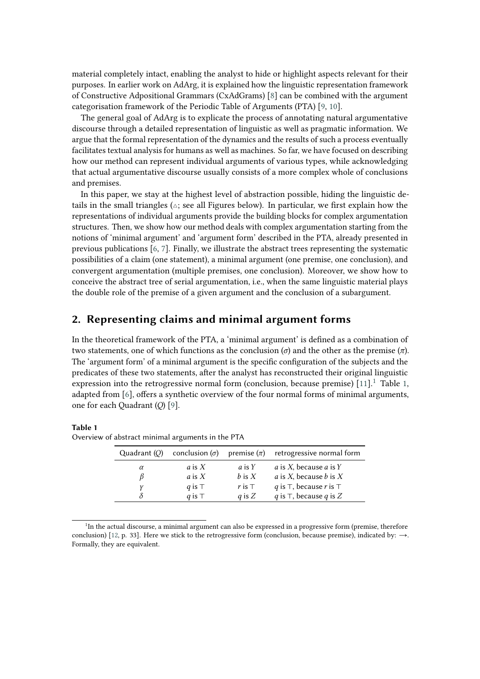material completely intact, enabling the analyst to hide or highlight aspects relevant for their purposes. In earlier work on AdArg, it is explained how the linguistic representation framework of Constructive Adpositional Grammars (CxAdGrams) [\[8\]](#page-5-0) can be combined with the argument categorisation framework of the Periodic Table of Arguments (PTA) [\[9,](#page-5-1) [10\]](#page-5-2).

The general goal of AdArg is to explicate the process of annotating natural argumentative discourse through a detailed representation of linguistic as well as pragmatic information. We argue that the formal representation of the dynamics and the results of such a process eventually facilitates textual analysis for humans as well as machines. So far, we have focused on describing how our method can represent individual arguments of various types, while acknowledging that actual argumentative discourse usually consists of a more complex whole of conclusions and premises.

In this paper, we stay at the highest level of abstraction possible, hiding the linguistic details in the small triangles ( $\triangle$ ; see all Figures below). In particular, we first explain how the representations of individual arguments provide the building blocks for complex argumentation structures. Then, we show how our method deals with complex argumentation starting from the notions of 'minimal argument' and 'argument form' described in the PTA, already presented in previous publications  $[6, 7]$  $[6, 7]$ . Finally, we illustrate the abstract trees representing the systematic possibilities of a claim (one statement), a minimal argument (one premise, one conclusion), and convergent argumentation (multiple premises, one conclusion). Moreover, we show how to conceive the abstract tree of serial argumentation, i.e., when the same linguistic material plays the double role of the premise of a given argument and the conclusion of a subargument.

## **2. Representing claims and minimal argument forms**

In the theoretical framework of the PTA, a 'minimal argument' is defined as a combination of two statements, one of which functions as the conclusion ( $\sigma$ ) and the other as the premise ( $\pi$ ). The 'argument form' of a minimal argument is the specific configuration of the subjects and the predicates of these two statements, after the analyst has reconstructed their original linguistic expression into the retrogressive normal form (conclusion, because premise)  $[11]$  $[11]$  $[11]$ .<sup>1</sup> Table [1,](#page-2-1) adapted from [\[6\]](#page-5-3), offers a synthetic overview of the four normal forms of minimal arguments, one for each Quadrant (O) [\[9\]](#page-5-1).

#### <span id="page-2-1"></span>**Table 1**

Overview of abstract minimal arguments in the PTA

| Quadrant $(O)$ |                                            |                                     | conclusion $(\sigma)$ premise $(\pi)$ retrogressive normal form                                                   |
|----------------|--------------------------------------------|-------------------------------------|-------------------------------------------------------------------------------------------------------------------|
| $\alpha$       | a is $X$<br>$\alpha$ is $X$<br>q is $\top$ | a is Y<br>$b$ is $X$<br>r is $\top$ | <i>a</i> is X, because <i>a</i> is Y<br><i>a</i> is X, because <i>b</i> is X<br>q is $\top$ , because r is $\top$ |
|                | q is $\top$                                | q is $Z$                            | q is $\top$ , because q is Z                                                                                      |

<span id="page-2-0"></span><sup>&</sup>lt;sup>1</sup>In the actual discourse, a minimal argument can also be expressed in a progressive form (premise, therefore conclusion) [\[12,](#page-5-6) p. 33]. Here we stick to the retrogressive form (conclusion, because premise), indicated by:  $\rightarrow$ . Formally, they are equivalent.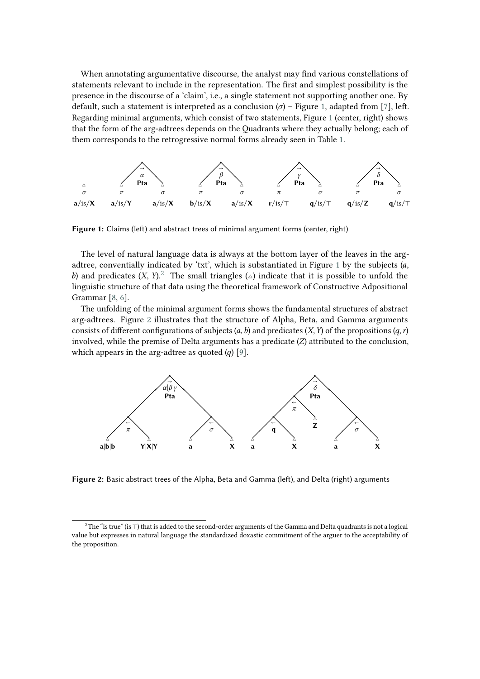When annotating argumentative discourse, the analyst may find various constellations of statements relevant to include in the representation. The first and simplest possibility is the presence in the discourse of a 'claim', i.e., a single statement not supporting another one. By default, such a statement is interpreted as a conclusion  $(\sigma)$  – Figure [1,](#page-3-0) adapted from [\[7\]](#page-5-4), left. Regarding minimal arguments, which consist of two statements, Figure [1](#page-3-0) (center, right) shows that the form of the arg-adtrees depends on the Quadrants where they actually belong; each of them corresponds to the retrogressive normal forms already seen in Table [1.](#page-2-1)



<span id="page-3-0"></span>**Figure 1:** Claims (left) and abstract trees of minimal argument forms (center, right)

The level of natural language data is always at the bottom layer of the leaves in the arg-adtree, conventially indicated by 'txt', which is substantiated in Figure [1](#page-3-0) by the subjects  $(a,$ b) and predicates  $(X, Y)^2$  $(X, Y)^2$ . The small triangles  $(\triangle)$  indicate that it is possible to unfold the linguistic structure of that data using the theoretical framework of Constructive Adpositional Grammar [\[8,](#page-5-0) [6\]](#page-5-3).

The unfolding of the minimal argument forms shows the fundamental structures of abstract arg-adtrees. Figure [2](#page-3-2) illustrates that the structure of Alpha, Beta, and Gamma arguments consists of different configurations of subjects  $(a, b)$  and predicates  $(X, Y)$  of the propositions  $(a, r)$ involved, while the premise of Delta arguments has a predicate  $(Z)$  attributed to the conclusion, which appears in the arg-adtree as quoted  $(q)$  [\[9\]](#page-5-1).



<span id="page-3-2"></span>**Figure 2:** Basic abstract trees of the Alpha, Beta and Gamma (left), and Delta (right) arguments

<span id="page-3-1"></span><sup>&</sup>lt;sup>2</sup>The "is true" (is ⊤) that is added to the second-order arguments of the Gamma and Delta quadrants is not a logical value but expresses in natural language the standardized doxastic commitment of the arguer to the acceptability of the proposition.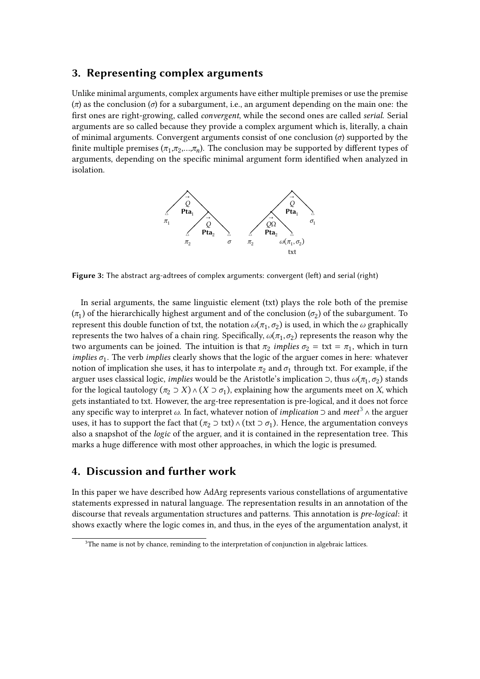### **3. Representing complex arguments**

Unlike minimal arguments, complex arguments have either multiple premises or use the premise  $(\pi)$  as the conclusion ( $\sigma$ ) for a subargument, i.e., an argument depending on the main one: the first ones are right-growing, called *convergent*, while the second ones are called *serial*. Serial arguments are so called because they provide a complex argument which is, literally, a chain of minimal arguments. Convergent arguments consist of one conclusion  $(\sigma)$  supported by the finite multiple premises  $(\pi_1, \pi_2, ..., \pi_n)$ . The conclusion may be supported by different types of arguments, depending on the specific minimal argument form identified when analyzed in isolation.



**Figure 3:** The abstract arg-adtrees of complex arguments: convergent (left) and serial (right)

In serial arguments, the same linguistic element (txt) plays the role both of the premise  $(\pi_1)$  of the hierarchically highest argument and of the conclusion  $(\sigma_2)$  of the subargument. To represent this double function of txt, the notation  $\omega(\pi_1, \sigma_2)$  is used, in which the  $\omega$  graphically represents the two halves of a chain ring. Specifically,  $\omega(\pi_1, \sigma_2)$  represents the reason why the two arguments can be joined. The intuition is that  $\pi_2$  *implies*  $\sigma_2 = \text{txt} = \pi_1$ , which in turn *implies*  $\sigma_1$ . The verb *implies* clearly shows that the logic of the arguer comes in here: whatever notion of implication she uses, it has to interpolate  $\pi_2$  and  $\sigma_1$  through txt. For example, if the arguer uses classical logic, *implies* would be the Aristotle's implication ⊃, thus  $\omega(\pi_1, \sigma_2)$  stands for the logical tautology  $(\pi_2 \supset X) \wedge (X \supset \sigma_1)$ , explaining how the arguments meet on X, which gets instantiated to txt. However, the arg-tree representation is pre-logical, and it does not force any specific way to interpret ω. In fact, whatever notion of *implication* ⊃ and *meet*<sup>[3](#page-4-0)</sup> ∧ the arguer uses, it has to support the fact that  $(\pi_2 \supset \text{txt}) \land (\text{txt} \supset \sigma_1)$ . Hence, the argumentation conveys also a snapshot of the *logic* of the arguer, and it is contained in the representation tree. This marks a huge difference with most other approaches, in which the logic is presumed.

## **4. Discussion and further work**

In this paper we have described how AdArg represents various constellations of argumentative statements expressed in natural language. The representation results in an annotation of the discourse that reveals argumentation structures and patterns. This annotation is *pre-logical*: it shows exactly where the logic comes in, and thus, in the eyes of the argumentation analyst, it

<span id="page-4-0"></span> $3$ The name is not by chance, reminding to the interpretation of conjunction in algebraic lattices.